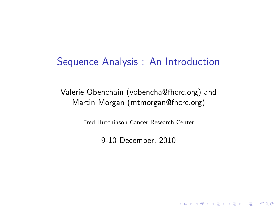#### Sequence Analysis : An Introduction

Valerie Obenchain [\(vobencha@fhcrc.org\)](mailto:vobencha@fhcrc.org) and Martin Morgan [\(mtmorgan@fhcrc.org\)](mailto:mtmorgan@fhcrc.org)

Fred Hutchinson Cancer Research Center

9-10 December, 2010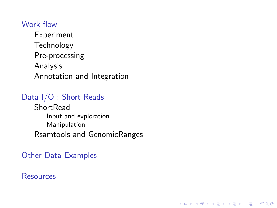#### [Work flow](#page-2-0)

[Experiment](#page-2-0) [Technology](#page-3-0) [Pre-processing](#page-4-0) [Analysis](#page-5-0) [Annotation and Integration](#page-6-0)

#### [Data I/O : Short Reads](#page-8-0)

**[ShortRead](#page-8-0)** [Input and exploration](#page-8-0) [Manipulation](#page-14-0) [Rsamtools and GenomicRanges](#page-15-0)

K ロ ▶ K 個 ▶ K 할 ▶ K 할 ▶ 이 할 → 9 Q Q →

#### [Other Data Examples](#page-20-0)

#### [Resources](#page-22-0)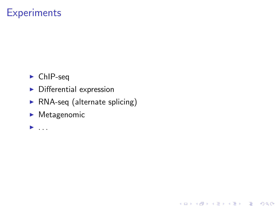## **Experiments**

- $\blacktriangleright$  ChIP-seq
- $\blacktriangleright$  Differential expression
- $\triangleright$  RNA-seq (alternate splicing)

KOKK@KKEKKEK E 1990

- $\blacktriangleright$  Metagenomic
- <span id="page-2-0"></span> $\blacktriangleright$  ...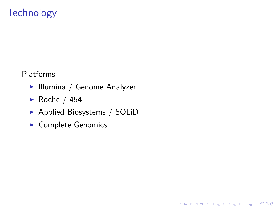# **Technology**

Platforms

- $\blacktriangleright$  Illumina / Genome Analyzer
- Roche / 454
- ▶ Applied Biosystems / SOLiD

K ロ ▶ K 個 ▶ K 할 ▶ K 할 ▶ 이 할 → 9 Q Q →

<span id="page-3-0"></span> $\blacktriangleright$  Complete Genomics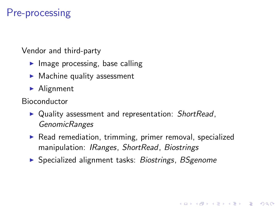## Pre-processing

Vendor and third-party

- $\blacktriangleright$  Image processing, base calling
- $\blacktriangleright$  Machine quality assessment
- $\blacktriangleright$  Alignment

Bioconductor

- $\triangleright$  Quality assessment and representation: [ShortRead](http://bioconductor.org/packages/release/bioc/html/ShortRead.html), **[GenomicRanges](http://bioconductor.org/packages/release/bioc/html/GenomicRanges.html)**
- $\blacktriangleright$  Read remediation, trimming, primer removal, specialized manipulation: [IRanges](http://bioconductor.org/packages/release/bioc/html/IRanges.html), [ShortRead](http://bioconductor.org/packages/release/bioc/html/ShortRead.html), [Biostrings](http://bioconductor.org/packages/release/bioc/html/Biostrings.html)

**KORKAR KERKER SAGA** 

<span id="page-4-0"></span>▶ Specialized alignment tasks: [Biostrings](http://bioconductor.org/packages/release/bioc/html/Biostrings.html), [BSgenome](http://bioconductor.org/packages/release/bioc/html/BSgenome.html)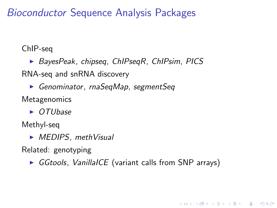## Bioconductor Sequence Analysis Packages

ChIP-seq

 $\triangleright$  [BayesPeak](http://bioconductor.org/packages/release/bioc/html/BayesPeak.html), [chipseq](http://bioconductor.org/packages/release/bioc/html/chipseq.html), [ChIPseqR](http://bioconductor.org/packages/release/bioc/html/ChIPseqR.html), [ChIPsim](http://bioconductor.org/packages/release/bioc/html/ChIPsim.html), [PICS](http://bioconductor.org/packages/release/bioc/html/PICS.html)

RNA-seq and snRNA discovery

▶ [Genominator](http://bioconductor.org/packages/release/bioc/html/Genominator.html), rnaSegMap, segmentSeg

**Metagenomics** 

 $\triangleright$  [OTUbase](http://bioconductor.org/packages/release/bioc/html/OTUbase.html)

Methyl-seq

 $\blacktriangleright$  [MEDIPS](http://bioconductor.org/packages/release/bioc/html/MEDIPS.html), meth Visual

Related: genotyping

<span id="page-5-0"></span> $\triangleright$  [GGtools](http://bioconductor.org/packages/release/bioc/html/GGtools.html), VanillalCE (variant calls from SNP arrays)

**KORK EXTERNE PROVIDE**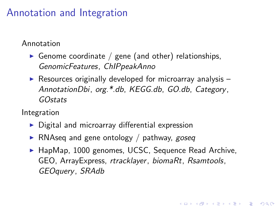## Annotation and Integration

Annotation

- Genome coordinate / gene (and other) relationships, [GenomicFeatures](http://bioconductor.org/packages/release/bioc/html/GenomicFeatures.html), [ChIPpeakAnno](http://bioconductor.org/packages/release/bioc/html/ChIPpeakAnno.html)
- $\triangleright$  Resources originally developed for microarray analysis [AnnotationDbi](http://bioconductor.org/packages/release/bioc/html/AnnotationDbi.html), [org.\\*.db](http://cran.fhcrc.org/web/packages/org.*.db/index.html), [KEGG.db](http://bioconductor.org/packages/release/bioc/html/KEGG.db.html), [GO.db](http://bioconductor.org/packages/release/bioc/html/GO.db.html), [Category](http://bioconductor.org/packages/release/bioc/html/Category.html), [GOstats](http://bioconductor.org/packages/release/bioc/html/GOstats.html)

Integration

- $\triangleright$  Digital and microarray differential expression
- $\triangleright$  RNAseq and gene ontology / pathway, [goseq](http://bioconductor.org/packages/release/bioc/html/goseq.html)
- <span id="page-6-0"></span>▶ HapMap, 1000 genomes, UCSC, Sequence Read Archive, GEO, ArrayExpress, [rtracklayer](http://bioconductor.org/packages/release/bioc/html/rtracklayer.html), [biomaRt](http://bioconductor.org/packages/release/bioc/html/biomaRt.html), [Rsamtools](http://bioconductor.org/packages/release/bioc/html/Rsamtools.html), [GEOquery](http://bioconductor.org/packages/release/bioc/html/GEOquery.html), [SRAdb](http://bioconductor.org/packages/release/bioc/html/SRAdb.html)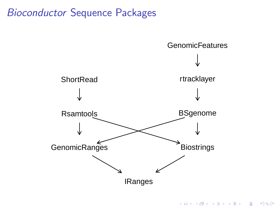### Bioconductor Sequence Packages



K ロ ▶ K 個 ▶ K 할 ▶ K 할 ▶ 이 할 → 9 Q Q →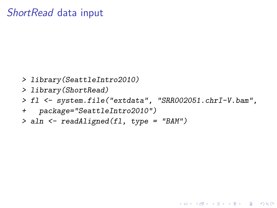#### [ShortRead](http://bioconductor.org/packages/release/bioc/html/ShortRead.html) data input

- > library(SeattleIntro2010)
- > library(ShortRead)
- > fl <- system.file("extdata", "SRR002051.chrI-V.bam",

- + package="SeattleIntro2010")
- <span id="page-8-0"></span>> aln <- readAligned(fl, type = "BAM")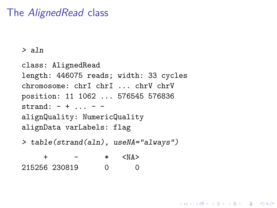#### The AlignedRead class

> aln

class: AlignedRead length: 446075 reads; width: 33 cycles chromosome: chrI chrI ... chrV chrV position: 11 1062 ... 576545 576836 strand:  $- +$  ...  $-$ alignQuality: NumericQuality alignData varLabels: flag

> table(strand(aln), useNA="always")

**KOD KAD KED KED DRA** 

+ - \* <NA> 215256 230819 0 0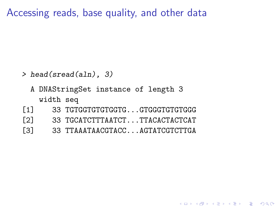Accessing reads, base quality, and other data

- > head(sread(aln), 3)
	- A DNAStringSet instance of length 3 width seq
- [1] 33 TGTGGTGTGTGGTG...GTGGGTGTGTGGG
- [2] 33 TGCATCTTTAATCT...TTACACTACTCAT
- [3] 33 TTAAATAACGTACC...AGTATCGTCTTGA

**KORKARYKERKER POLO**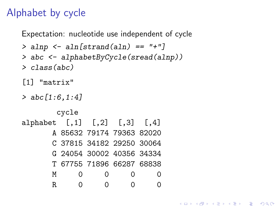# Alphabet by cycle

Expectation: nucleotide use independent of cycle

```
> alnp \le aln[strand(aln) == "+"]
> abc <- alphabetByCycle(sread(alnp))
> class(abc)
```
[1] "matrix"

```
> abc[1:6,1:4]
```

```
cycle
```

| alphabet [,1] [,2] [,3] [,4] |                           |               |  |
|------------------------------|---------------------------|---------------|--|
|                              | A 85632 79174 79363 82020 |               |  |
|                              | C 37815 34182 29250 30064 |               |  |
|                              | G 24054 30002 40356 34334 |               |  |
|                              | T 67755 71896 66287 68838 |               |  |
| М                            | $\Omega$                  | $\mathcal{L}$ |  |
| R                            |                           |               |  |

**KORKARYKERKER POLO**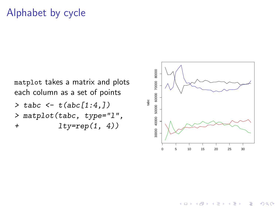## Alphabet by cycle

matplot takes a matrix and plots each column as a set of points

 $>$  tabc  $\leq$  t(abc[1:4.]) > matplot(tabc, type="l", + lty=rep(1, 4))



**←ロ ▶ → 伊 ▶ → ヨ ▶ → ヨ ▶** 

 $299$ 

B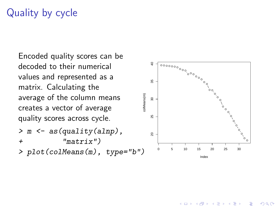# Quality by cycle

Encoded quality scores can be decoded to their numerical values and represented as a matrix. Calculating the average of the column means creates a vector of average quality scores across cycle. > m <- as(quality(alnp), + "matrix")

> plot(colMeans(m), type="b")



**←ロ ▶ → 伊 ▶ → ヨ ▶ → ヨ ▶** 

B

 $QQ$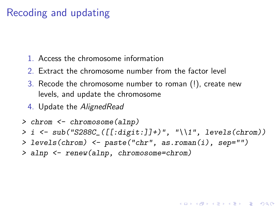## Recoding and updating

- 1. Access the chromosome information
- 2. Extract the chromosome number from the factor level
- 3. Recode the chromosome number to roman (!), create new levels, and update the chromosome
- 4. Update the AlignedRead
- > chrom <- chromosome(alnp) > i <- sub("S288C\_([[:digit:]]+)", "\\1", levels(chrom))
- > levels(chrom) <- paste("chr", as.roman(i), sep="")

**KORKARYKERKER POLO** 

<span id="page-14-0"></span>> alnp <- renew(alnp, chromosome=chrom)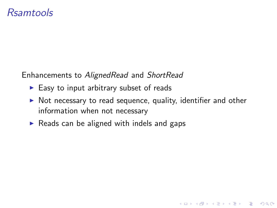#### [Rsamtools](http://bioconductor.org/packages/release/bioc/html/Rsamtools.html)

Enhancements to AlignedRead and [ShortRead](http://bioconductor.org/packages/release/bioc/html/ShortRead.html)

- $\blacktriangleright$  Easy to input arbitrary subset of reads
- $\triangleright$  Not necessary to read sequence, quality, identifier and other information when not necessary

K ロ ▶ K 個 ▶ K 할 ▶ K 할 ▶ 이 할 → 9 Q Q →

<span id="page-15-0"></span> $\triangleright$  Reads can be aligned with indels and gaps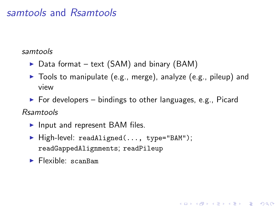### samtools and [Rsamtools](http://bioconductor.org/packages/release/bioc/html/Rsamtools.html)

[samtools](http://samtools.sourceforge.net/)

- $\triangleright$  Data format text (SAM) and binary (BAM)
- $\triangleright$  Tools to manipulate (e.g., merge), analyze (e.g., pileup) and view

**KORKARYKERKER POLO** 

 $\triangleright$  For developers – bindings to other languages, e.g., [Picard](http://picard.sourceforge.net/index.shtml)

[Rsamtools](http://bioconductor.org/packages/release/bioc/html/Rsamtools.html)

- $\blacktriangleright$  Input and represent BAM files.
- ▶ High-level: readAligned(..., type="BAM"); readGappedAlignments; readPileup
- $\blacktriangleright$  Flexible: scanBam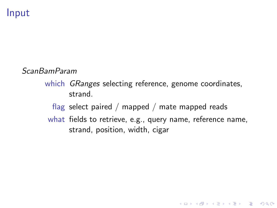#### Input

#### ScanBamParam

which *GRanges* selecting reference, genome coordinates, strand.

flag select paired / mapped / mate mapped reads

what fields to retrieve, e.g., query name, reference name, strand, position, width, cigar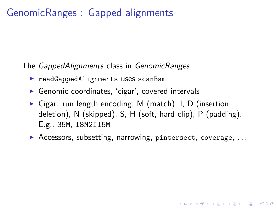# GenomicRanges : Gapped alignments

The GappedAlignments class in [GenomicRanges](http://bioconductor.org/packages/release/bioc/html/GenomicRanges.html)

- ▶ readGappedAlignments uses scanBam
- $\triangleright$  Genomic coordinates, 'cigar', covered intervals
- $\triangleright$  Cigar: run length encoding; M (match), I, D (insertion, deletion), N (skipped), S, H (soft, hard clip), P (padding). E.g., 35M, 18M2I15M
- $\blacktriangleright$  Accessors, subsetting, narrowing, pintersect, coverage, ...

**KORKAR KERKER SAGA**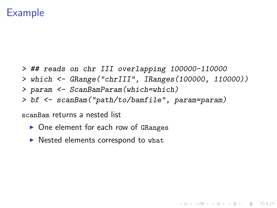## Example

- > ## reads on chr III overlapping 100000-110000
- > which <- GRange("chrIII", IRanges(100000, 110000))

- > param <- ScanBamParam(which=which)
- > bf <- scanBam("path/to/bamfile", param=param)

scanBam returns a nested list

- $\triangleright$  One element for each row of GRanges
- $\triangleright$  Nested elements correspond to what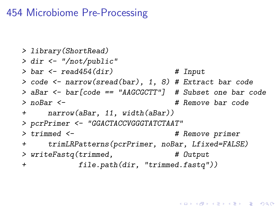# 454 Microbiome Pre-Processing

<span id="page-20-0"></span>

|           | > library(ShortRead)                                           |  |  |  |
|-----------|----------------------------------------------------------------|--|--|--|
|           | $> dir < -$ "/not/public"                                      |  |  |  |
|           | > bar $\leftarrow$ read454(dir)<br># Input                     |  |  |  |
|           | > code <- $narrow(sread(bar), 1, 8)$ # Extract bar code        |  |  |  |
|           | $>$ aBar $\le$ - bar[code == "AAGCGCTT"] # Subset one bar code |  |  |  |
|           | # Remove bar code<br>$>$ noBar $\leq$ -                        |  |  |  |
|           | narrow(abar, 11, width(abar))<br>$+$ $-$                       |  |  |  |
|           | > pcrPrimer <- "GGACTACCVGGGTATCTAAT"                          |  |  |  |
|           | $>$ trimmed $\leq$ -<br># Remove primer                        |  |  |  |
|           | trimLRPatterns(pcrPrimer, noBar, Lfixed=FALSE)<br>$+$ $-$      |  |  |  |
|           | $>$ writeFastq(trimmed,<br># Output                            |  |  |  |
| $\ddot{}$ | file.path(dir, "trimmed.fastq"))                               |  |  |  |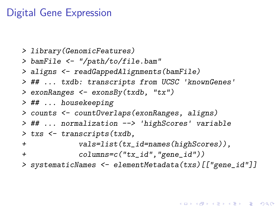### Digital Gene Expression

- > library(GenomicFeatures)
- > bamFile <- "/path/to/file.bam"
- > aligns <- readGappedAlignments(bamFile)
- > ## ... txdb: transcripts from UCSC 'knownGenes'
- > exonRanges <- exonsBy(txdb, "tx")
- > ## ... housekeeping
- > counts <- countOverlaps(exonRanges, aligns)
- > ## ... normalization --> 'highScores' variable

> txs <- transcripts(txdb,

- + vals=list(tx\_id=names(highScores)),
- + columns=c("tx\_id","gene\_id"))

> systematicNames <- elementMetadata(txs)[["gene\_id"]]